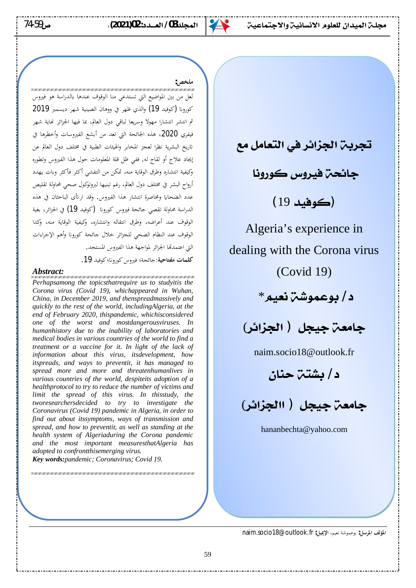74-59**ƅ (2021)02 :ŵŶºººƘƫř / 03ŶƬŬưƫř ŠǀƗŚưŤūLJřƹŠǀƳŚƀƳLJřƭƺƬƘƬƫƱřŶǀưƫřŠºƬŬƯ**



### **ملخص:**

لعل من بين المواضيع التي تستدعي منا الوقوف عندها بالدراسة هو فيروس كورونا (كوفيد 19) والذي ظهر في ووهان الصينية شهر ديسمبر 2019 ثم انتشر انتشارا مهولا وسريعا لباقي دول العالم، بما فيها الجزائر نماية شهر فيفري 2020، هذه الجائحة التي تعد من أبشع الفيروسات وأخطرها في تاريخ البشرية نظرا لعجز المخابر والهيئات الطبية في مختلف دول العالم عن إيجاد علاج أو لقاح له. ففي ظل قلة المعلومات حول هذا الفيروس وتطوره وكيفية انتشاره وطرق الوقاية منه، تمكن من التفشي أكثر فأكثر وبات يهدد أرواح البشر في مختلف دول العالم، رغم تبنيها لبروتوكول صحى لمحاولة تقليص عدد الضحايا ومحاصرة انتشار هذا الفيروس. وقد ارتأى الباحثان في هذه الدراسة محاولة تقصي جائحة فيروس كورونا (كوفيد 19) في الجزائر، بغية الوقوف عند أعراضه، وطرق انتقاله وانتشاره، وكيفية الوقاية منه، وكدا الوقوف عند النظام الصحى للجزائر خلال جائحة كورونا وأهم الإجراءات التي اعتمدتها الجزائر لمواجهة هذا الفيروس المستجد.

كلمات مفتاحية:جائحة؛ فيروس كورونا؛كوفيد 19.

*Abstract: Perhapsamong the topicsthatrequire us to studyitis the Corona virus (Covid 19), whichappeared in Wuhan, China, in December 2019, and thenspreadmassively and quickly to the rest of the world, includingAlgeria, at the end of February 2020, thispandemic, whichisconsidered one of the worst and mostdangerousviruses. In humanhistory due to the inability of laboratories and medical bodies in various countries of the world to find a treatment or a vaccine for it. In light of the lack of information about this virus, itsdevelopment, how itspreads, and ways to preventit, it has managed to spread more and more and threatenhumanlives in various countries of the world, despiteits adoption of a healthprotocol to try to reduce the number of victims and limit the spread of this virus. In thisstudy, the tworesearchersdecided to try to investigate the Coronavirus (Covid 19) pandemic in Algeria, in order to find out about itssymptoms, ways of transmission and spread, and how to preventit, as well as standing at the health system of Algeriaduring the Corona pandemic and the most important measuresthatAlgeria has adopted to confrontthisemerging virus. Key words:pandemic; Coronavirus; Covid 19.*

שו מסוימו מה מורימו מורימו מורימו שו מורימו מורימו מורימו מורימו מורימו מורימו מורימו מורימו מורימו מורימו מורימו מורימו מורימו.

<mark>تجرين الجز</mark>ائر في التعامل مع

جائحٽ فيروس **ڪورون**ا

**(كوفيد 19)** 

Algeria's experience in dealing with the Corona virus (Covid 19)

د/ بوعموشتن نعيم\*



naim.socio18@outlook.fr

د/بشتت حنان

(**źŗřżŬƫřř ) ƪŬǀūŠƘƯŚū**

hananbechta@yahoo.com

المؤلف المرسل: بوعموشة نعيم، الإيميل: naim.socio18@outlook.fr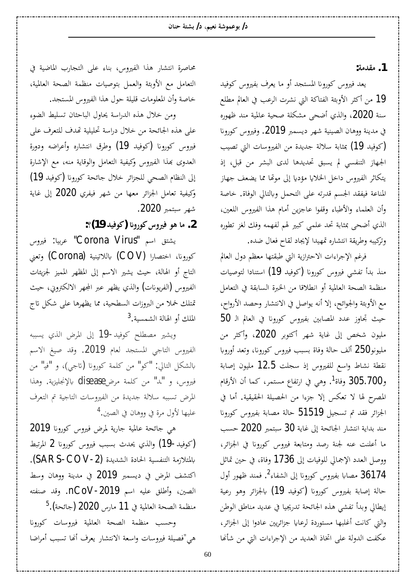**:ƨǷƾǬǷ .1**

يعد فيروس كورونا المستجد أو ما يعرف بفيروس كوفيد و1 من أكثر الأوبئة الفتاكة التي نشرت الرعب في العالم مطلع سنة 2020، والذي أضحى مشكلة صحية عالمية مند ظهوره ي مدينة ووهان الصينية شهر ديسمبر 2019. وفيروس كورونا خوفيد 19) بمثابة سلالة جديدة من الفيروسات التي تصيب الجهاز التنفسي لم يسبق تحديدها لدى البشر من قبل، إذ يتكاثر الفيروس داخل الخلايا مؤديا إلى موتَّفا مما يضعف جهاز المناعة فيفقد الجسم قدرته على التحمل وبالتالي الوفاة. خاصة وأن العلماء والأطباء وقفوا عاجزين أمام هذا الفيروس اللعين، الذي أضحى بمثابة تحد علمي كبير لهم لفهمه وفك لغز تطوره وتركيبه وطريقة انتشاره تمهيدا لإيجاد لقاح فعال ضده.

فرغم الإجراءات الاحترازية التي طبقتها معظم دول العالم منذ بدأ تفشي فيروس كورونا (كوفيد 19) استنادا لتوصيات منظمة الصحة العالمية أو انطلاقا من الخبرة السابقة في التعامل مع الأوبئة والجوائح، إلا أنه يواصل في الانتشار وحصد الأرواح، 50 حيث تجاوز عدد المصابين بفيروس كورونا في العالم الـ مليون شخص إلى غاية شهر أكتوبر 2020، وأكثر من مليونو250 ألف حالة وفاة بسبب فيروس كورونا، وتعد أوروبا نقطة نشاط واسع للفيروس إذ سجلت 12.5 مليون إصابة و305.700 وفاة<sup>[1](#page-14-0)</sup>. وهي في ارتفاع مستمر، كما أن الأرقام المصرح لها لا تعكس إلا جزءا من الحصيلة الحقيقية. أما في الجزائر فقد تم تسجيل 51519 حالة مصابة بفيروس كورونا مند بداية انتشار الجائحة إلى غاية 30 سبتمبر 2020 حسب ما أعلنت عنه لجنة رصد ومتابعة فيروس كورونا في الجزائر، ووصل العدد الإجمالي للوفيات إلى 1736 وفاة، في حين تماثل 36174 مصابا بفيروس كورونا إلى الشفاء<sup>[2](#page-14-1)</sup>. فمند ظهور أول حالة إصابة بفيروس كورونا (كوفيد 19) بالجزائر وهو رعية إيطالي وبدأ تفشي هذه الجائحة تدريجيا في عديد مناطق الوطن والتي كانت أغلبها مستوردة لرعايا جزائريين عادوا إلى الجزائر، عكفت الدولة على اتخاذ العديد من الإجراءات التي من شأنها

محاصرة انتشار هذا الفيروس، بناء على التجارب الماضية في التعامل مع الأوبئة والعمل بتوصيات منظمة الصحة العالمية، خاصة وأن المعلومات قليلة حول هذا الفيروس المستجد.

ومن خلال هذه الدراسة يحاول الباحثان تسليط الضوء على هذه الجائحة من خلال دراسة تحليلية تهدف للتعرف على فيروس كورونا (كوفيد 19) وطرق انتشاره وأعراضه ودورة العدوى بهذا الفيروس وكيفية التعامل والوقاية منه، مع الإشارة إلى النظام الصحي للجزائر خلال جائحة كورونا (كوفيد 19) وكيفية تعامل الجزائر معها من شهر فيفري 2020 إلى غاية شهر سبتمبر 2020.

2. ما هو فيروس كورونا (كوفيد 19)؟:

يشتق اسم "Corona Virus" عربيا: فيروس كورونا، اختصارا (COV) باللاتينية (Corona) وتعني التاج أو الهالة، حيث يشير الاسم إلى المظهر المميز لجزيئات الفيروس (الفريونات) والذي يظهر عبر المجهر الالكترويي، حيث قمتلك خملاً من البروزات السطحية، مما يظهرها على شكل تاج الملك أو الهالة الشمسية.<sup>[3](#page-14-2)</sup>

ويشير مصطلح كوفيد-19 إلى المرض الذي يسببه الفيروس التاجي المستجد لعام 2019. وقد صيغ الاسم بالشكل التالي: "كو" من كلمة كورونا (تاجى)، و "فيا" من فيروس، و "لما" من كلمة مرضdisease بالإنجليزية. وهذا المرض تسببه سلالة جديدة من الفيروسات التاجية تم التعرف عليها لأول مرة في ووهان في الصين.<sup>[4](#page-14-3)</sup>

هي جائحة عالمية جارية لمرض فيروس كورونا 2019 (كوفيد-19) والذي يحدث بسبب فيروس كورونا 2 المرتبط بالمتلازمة التنفسية الحادة الشديدة (SARS-COV-2). اكتشف المرض في ديسمبر **2019** في مدينة ووهان وسط الصين، وأطلق عليه اسم nCoV-2019. وقد صنفته  $^5$  $^5$ .(منظمة الصحة العالمية في 11 مارس 2020 (جائحة)

وحسب منظمة الصحة العالمية فيروسات كورونا هي "فصيلة فيروسات واسعة الانتشار يعرف أنها تسبب أمراضا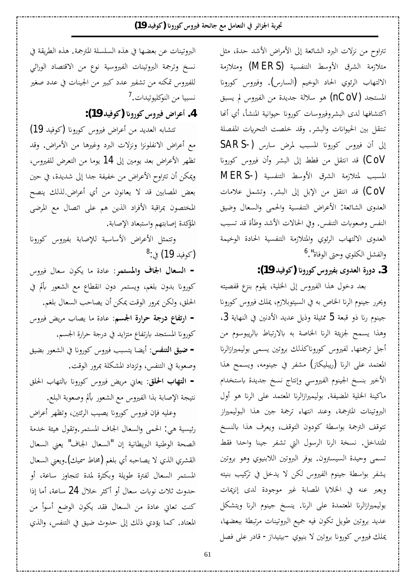تتراوح من نزلات البرد الشائعة إلى الأمراض الأشد حدة، مثل متلازمة الشرق الأوسط التنفسية (MERS) ومتلازمة الالتهاب الرئوي الحاد الوخيم (السارس). وفيروس كورونا المستجد (nCoV) هو سلالة جديدة من الفيروس لم يسبق اكتشافها لدى البشروفيروسات كورونا حيوانية المنشأ، أي أنها تنتقل بين الحيوانات والبشر. وقد خلصت التحريات المفصلة إلى أن فيروس كورونا المسبب لمرض سارس (-SARS CoV) قد انتقل من قطط إلى البشر وأن فيروس كورونا المسبب لمتلازمة الشرق الأوسط التنفسية (−MERS ©ƢǷȐǟ DzǸnjƫÂ .ǂnjƦdz¦ ń¤ Dzƥȍ¦ ǺǷ DzǬƬǻ¦ ƾǫ (CoV العدوي الشائعة: الأعراض التنفسية والحمى والسعال وضيق النفس وصعوبات التنفس. وفي الحالات الأشد وطأة قد تسبب العدوى الالتهاب الرئوي والمتلازمة التنفسية الحادة الوخيمة والفشل الكلوي وحتى الوفاة".<sup>[6](#page-14-5)</sup>

3. دورة العدوى بفيروس كورونا (كوفيد 19):

بعد دخول هذا الفيروس إلى الخلية، يقوم بنزع قفصيته ويحرر جينوم الرنا الخاص به في السيتوبلازم، يملك فيروس كورونا 3 جينوم رنا ذو قبعة 5 ممثيلة وذيل عديد الأدنين في النهاية وهذا يسمح لجزيئة الرنا الخاصة به بالارتباط بالريبوسوم من أجل ترجمتها. لفيروس كوروناكذلك بروتين يسمى بوليميرازالرنا المعتمد على الرنا (ريبليكاز) مشفر في جينومه، ويسمح هذا الأخير بنسخ الجينوم الفيروسي وإنتاج نسخ جديدة باستخدام ماكينة الخلية المضيفة. بوليميرازالرنا المعتمد على الرنا هو أول البروتينات المترجمة، وعند انتهاء ترجمة جين هذا البوليميراز تتوقف الترجمة بواسطة كودون التوقف، ويعرف هذا بالنسخ المتداخل. نسخة الرنا الرسول التي تشفر جينا واحدا فقط تسمي وحيدة السيسترون. يوفر البروتين اللابنيوي وهو بروتين يشفر بواسطة جينوم الفيروس لكن لا يدخل في تركيب بنيته ويعبر عنه في الخلايا المصابة غير موجودة لدى إنزيمات بوليميرازالرنا المعتمدة على الرنا. ينسخ جينوم الرنا ويتشكل عديد بروتين طويل تكون فيه جميع البروتينات مرتبطة ببعضها، یملك فیروس كورونا بروتین لا بنیوي −بیتیداز− قادر عل<sub>ی</sub> فصل

البروتينات عن بعضها في هذه السلسلة المترجمة. هذه الطريقة في نسخ وترجمة البروتينات الفيروسية نوع من الاقتصاد الوراثي للفيروس تمكنه من تشفير عدد كبير من الجينات في عدد صغير نسبيا من النوكليوتيدات.<sup>[7](#page-13-0)</sup>

 **:(19 ƾȈǧȂǯ) ʭ°Ȃǯ²ÂŚǧµ¦ǂǟ¢ .4**

تتشابه العديد من أعراض فيروس كورونا (كوفيد 19) مع أعراض الانفلونزا ونزلات البرد وغيرها من الأمراض. وقد تظهر الأعراض بعد يومين إلى 14 يوما من التعرض للفيروس، ويمكن أن تتراوح الأعراض من خفيفة جدا إلى شديدة، في حين بعض المصابين قد لا يعانون من أي أعراض.لذلك ينصح المختصون بمراقبة الأفراد الذين هم على اتصال مع المرضى المؤكدة إصابتهم واستبعاد الإصابة.

وتتمثل الأعراض الأساسية للإصابة بفيروس كورونا (<sub>كوفيد</sub> 19) في:<sup>[8](#page-13-1)</sup>

- **السعال الجاف والمستمر**: عادة ما يكون سعال فيروس كورونا بدون بلغم، ويستمر دون انقطاع مع الشعور بألم في الحلق، ولكن بمرور الوقت يمكن أن يصاحب السعال بلغم. <mark>− ارتفاع درجة حرارة الجسم</mark>: عادة ما يصاب مريض فيروس كورونا المستجد بارتفاع متزايد في درجة حرارة الجسم. <mark>– ضيق التنفس</mark>: أيضا يتسبب فيروس كورونا في الشعور بضيق وصعوبة في التنفس، وتزداد المشكلة بمرور الوقت. **- التهاب الحلق**: يعاني مريض فيروس كورونا بالتهاب الحلق

نتيجة الإصابة بذا الفيروس مع الشعور بألم وصعوبة البلع.

وعليه فإن فيروس كورونا يصيب الرئتين، وتظهر أعراض رئيسية هي: الحمي والسعال الجاف المستمر وتقول هيئة خدمة الصحة الوطنية البريطانية إن "السعال الجاف" يعني السعال القشري الذي لا يصاحبه أي بلغم (مخاط سميك).ويعني السعال المستمر السعال لفترة طويلة وبكثرة لمدة تتجاوز ساعة، أو حدوث ثلاث نوبات سعال أو أكثر خلال **24** ساعة، أما إذا كنت تعاني عادة من السعال فقد يكون الوضع أسوأ من المعتاد. كما يؤدي ذلك إلى حدوث ضيق في التنفس، والذي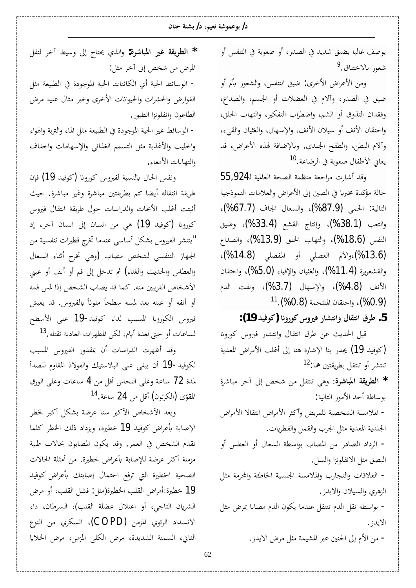يوصف غالبا بضيق شديد في الصدر، أو صعوبة في التنفس أو شعور بالاختناق.<sup>[9](#page-14-6)</sup>

ومن الأعراض الأخرى: ضيق التنفس، والشعور بألم أو ضيق في الصدر، وآلام في العضلات أو الجسم، والصداع، وفقدان التذوق أو الشيم، واضطراب التفكير، والتهاب الحلق، واحتقان الأنف أو سيلان الأنف، والإسهال، والغثيان والقيء، وألام البطن، والطفح الجلدي. وبالإضافة لهذه الأعراض، قد يعاني الأطفال صعوبة في الرضاعة.<sup>[10](#page-14-7)</sup>

55,924 وقد أشارت مراجعة منظمة الصحة العالمية لـ55,924 حالة مؤكدة مخبريا في الصين إلى الأعراض والعلامات النموذجية التالية: الحمي (87.9%)، والسعال الجاف (67.7%)، والتعب (38.4%)، وإنتاج القشع (33.4%)، وضيق النفس (18.6%)، والتهاب الحلق (13.9%)، والصداع (%13.6)،والألم العضلي أو المفصلي (14.8%)، والقشعريرة (11.4%)، والغثيان والإقياء (5.0%)، واحتقان الأنف (4.8%)، والإسهال (3.7%)، ونفث الدم (0.9%)، واحتقان الملتحمة (0.8%).<sup>[11](#page-14-8)</sup>

5. طرق انتقال وانتشار فيروس كورونا (كوفيد 19):

قبل الحديث عن طرق انتقال وانتشار فيروس كورونا خوفيد 19) يجدر بنا الإشارة هنا إلى أغلب الأمراض المعدية) تنتشر أو تنتقل بطريقتين هما:<sup>[12](#page-14-9)</sup>

¨ǂNjƢƦǷǂƻ¡ń¤ǎƼNjǺǷDzǬƬǼƫȆǿÂ **¨ǂNjƢƦŭ¦ƨǬȇǂǘdz¦ \*** بوساطة أحد الأمور التالية:

− الملامسة الشخصية للمريض وأكثر الأمراض انتقالا الأمراض الجلدية المعدية مثل الجرب والقمل والفطريات.

− الرداد الصادر من المصاب بواسطة السعال أو العطس أو البصق مثل الانفلونزا والسل.

- العلاقات والتجارب والملامسة الجنسية الخاطئة والمحرمة مثل الزهري والسيلان والايدز.

− بواسطة نقل الدم تنتقل عندما يكون الدم مصابا بمرض مثل الايدز .

− من الأم إلى الجنين عبر المشيمة مثل مرض الايدز.

DzǬǼdz ǂƻ¡ ǖȈLJÂń¤ «ƢƬŹ Äǀdz¦Â **:¨ǂNjƢƦŭ¦ Śǣ ƨǬȇǂǘdz¦ \*** المرض من شخص إلى آخر مثل: – الوسائط الحية أي الكائنات الحية الموجودة في الطبيعة مثل القوارض والحشرات والحيوانات الأخرى وخير مثال عليه مرض الطاعون وانفلونزا الطيور.

− الوسائط غير الحية الموجودة في الطبيعة مثل الماء والتربة والهواء والحليب والأغذية مثل التسمم الغذائي والإسهامات والجفاف والتهابات الأمعاء.

ونفس الحال بالنسبة لفيروس كورونا (كوفيد 19) فإن طريقة انتقاله أيضا تتم بطريقتين مباشرة وغير مباشرة. حيث أثبتت أغلب الأبحاث والدراسات حول طريقة انتقال فيروس كورونا (كوفيد 19) هي من انسان إلى انسان آخر، إذ "ينتشر الفيروس بشكل أساسى عندما تخرج قطيرات تنفسية من الجهاز التنفسي لشخص مصاب (وهي تخرج أثناء السعال والعطاس والحديث والغناء**)** ثم تدخل إلى فم أو أنف أو عيني الأشخاص القريبين منه. كما قد يصاب الشخص إذا لمس فمه أو أنفه أو عينه بعد لمسه سطحاً ملوثاً بالفيروس. قد يعيش فيروس الكورونا المسبب لداء كوفيد-19 على الأسطح لساعات أو حتى لعدة أيام، لكن المطهرات العادية تقتله.<sup>[13](#page-14-10)</sup>

وقد أظهرت الدراسات أن بمقدور الفيروس المسبب لكوفيد-19 أن يبقى على البلاستيك والفولاذ المقاوم للصدأ لمدة 72 ساعة وعلى النحاس أقل من 4 ساعات وعلى الورق المقوّى (الكرتون) أقل من 24 ساعة.<sup>[14](#page-14-11)</sup>

ويعد الأشخاص الأكبر سنا عرضة بشكل أكبر لخطر الإصابة بأعراض كوفيد 19 خطيرة، ويزداد ذلك الخطر كلما تقدم الشخص في العمر. وقد يكون المصابون بحالات طبية مزمنة أكثر عرضة للإصابة بأعراض خطيرة. من أمثلة الحالات الصحية الخطيرة التي ترفع احتمال إصابتك بأعراض كوفيد 19 خطيرة:أمراض القلب الخطيرة(مثل: فشل القلب، أو مرض الشريان التاجي، أو اعتلال عضلة القلب)، السرطان، داء الانسداد الرئوي المزمن (COPD)، السكري من النوع الثاني، السمنة الشديدة، مرض الكلي المزمن، مرض الخلايا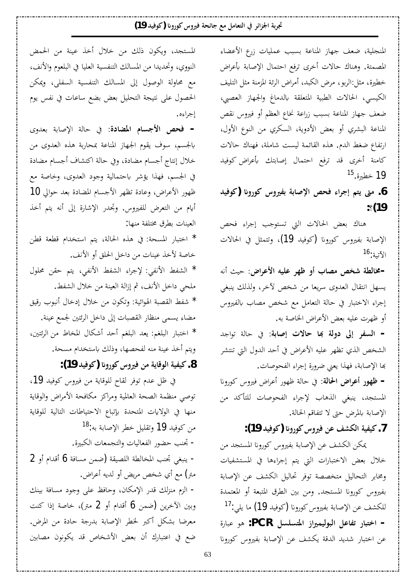المنجلية، ضعف جهاز المناعة بسبب عمليات زرع الأعضاء المصمتة. وهناك حالات أخرى ترفع احتمال الإصابة بأعراض خطيرة، مثل:الربو، مرض الكبد، أمراض الرئة المزمنة مثل التليف الكيسي، الحالات الطبية المتعلقة بالدماغ والجهاز العصبي، ضعف جهاز المناعة بسبب زراعة نخاع العظم أو فيروس نقص المناعة البشري أو بعض الأدوية، السكري من النوع الأول، ارتفاع ضغط الدم. هذه القائمة ليست شاملة، فهناك حالات كامنة أخرى قد ترفع احتمال إصابتك بأعراض كوفيد [15](#page-14-12) خطيرة.<sup>15</sup>

**ƾȈǧȂǯ) ʭ°Ȃǯ²ÂŚǨƥƨƥƢǏȍ¦ ǎƸǧ ¦ǂƳ¤ǶƬȇŕǷ .6 :(19**

هناك بعض الحالات التي تستوجب إجراء فحص الإصابة بفيروس كورونا (كوفيد 19)، وتتمثل في الحالات الآتية:<sup>[16](#page-14-13)</sup>

Ǿǻ¢ƮȈƷ **µ¦ǂǟȋ¦ǾȈǴǟǂȀǛ¢§ƢǐǷǎƼNjƨǘdzƢű-** يسهل انتقال العدوي سريعا من شخص لأخر، ولذلك ينبغي إجراء الاختبار في حالة التعامل مع شخص مصاب بالفيروس أو ظهرت عليه بعض الأعراض الخاصة به.

<mark>- السفر إلى دولة بما حالات إصابة:</mark> في حالة تواجد الشخص الذي تظهر عليه الأعراض في أحد الدول التي تنتشر بها الإصابة، فهذا يعني ضرورة إجراء الفحوصات.

**- ظهور أعواض الحالة**: في حالة ظهور أعراض فيروس كورونا المستجد، ينبغي الذهاب لإجراء الفحوصات للتأكد من الإصابة بالمرض حتى لا تتفاقم الحالة.

7. كيفية الكشف عن فيروس كورونا (كوفيد 19):

عكن الكشف عن الإصابة بفيروس كورونا المستجد من خلال بعض الاختبارات التي يتم إجراءها في المستشفيات ومخابر التحاليل متخصصة توفر تحاليل الكشف عن الإصابة بفيروس كورونا المستجد. ومن بين الطرق المتبعة أو المعتمدة للكشف عن الإصابة بفيروس كورونا (كوفيد 19) ما يلي:<sup>[17](#page-14-14)</sup> − ا**خ**تبار تفاعل البوليميراز المتسلسل PCR: هو عبارة عن اختبار شديد الدقة يكشف عن الإصابة بفيروس كورونا

المستجد، ويكون ذلك من خلال أخذ عينة من الحمض النووي، وتحديدا من المسالك التنفسية العليا في البلعوم والأنف، مع محاولة الوصول إلى المسالك التنفسية السفلي، ويمكن الحصول على نتيجة التحليل بعض بضع ساعات في نفس يوم إجراءه .

- فحص الأجسام المضادة: في حالة الإصابة بعدوى بالجسم، سوف يقوم الجهاز المناعة بمحاربة هذه العدوى من خلال إنتاج أجسام مضادة، وفي حالة اكتشاف أجسام مضادة في الجسم، فهذا يؤشر باحتمالية وجود العدوى، وخاصة مع ظهور الأعراض، وعادة تظهر الأجسام المضادة بعد حوالي 10 أيام من التعرض للفيروس. وتجدر الإشارة إلى أنه يتم أخذ العينات بطرق مختلفة منها:

\* اختبار المسحة: في هذه الحالة، يتم استخدام قطعة قطن خاصة لأخذ عينات من داخل الحلق أو الأنف. ¾ȂǴŰ ǺǬƷ ǶƬȇ ȆǨǻȋ¦ ǖǨnjdz¦ ¦ǂƳȍ ȆǨǻȋ¦ ǖǨnjdz¦ \* ملحي داخل الأنف، ثم إزالة العينة من خلال الشفط. ǪȈǫ°§ȂƦǻ¢¾Ƣƻ®¤¾ȐƻǺǷÀȂǰƫÂ ƨȈƟ¦Ȃ٦ƨƦǐǬdz¦ǖǨNj \* مضاء يسمى منظار القصبات إلى داخل الرئتين لجمع عينة. [śƬƟǂdz¦](https://www.webteb.com/articles/%D8%B7%D8%B1%D9%82-%D8%A7%D9%84%D8%AD%D9%81%D8%A7%D8%B8-%D8%B9%D9%84%D9%89-%D8%B5%D8%AD%D8%A9-%D8%A7%D9%84%D8%B1%D8%A6%D8%AA%D9%8A%D9%86_20209) ǺǷ ¶ƢƼŭ¦ ¾ƢǰNj¢ ƾƷ¢ ǶǤǴƦdz¦ ƾǠȇ ǶǤǴƦdz¦ °ƢƦƬƻ¦ \* ويتم أخذ عينة منه لفحصها، وذلك باستخدام مسحة.

 **:(19ƾȈǧȂǯ) ʭ°Ȃǯ²ÂŚǧǺǷƨȇƢǫȂdz¦ƨȈǨȈǯ .8**

في ظل عدم توفر لقاح للوقاية من فيروس كوفيد 19، توصي منظمة الصحة العالمية ومراكز مكافحة الأمراض والوقاية منها في الولايات المتحدة بإتباع الاحتياطات التالية للوقاية من كوفيد 19 وتقليل خطر الإصابة به:<sup>[18](#page-14-15)</sup> = تجنب حضور الفعاليات والتجمعات الكبيرة. − ينبغي تجنب المخالطة اللصيقة (ضمن مسافة 6 أقدام أو 2 متر) مع أي شخص مريض أو لديه أعراض. – الزم منزلك قدر الإمكان، وحافظ على وجود مسافة بينك وبين الآخرين (ضمن 6 أقدام أو 2 متر)، خاصة إذا كنت معرضا بشكل أكبر لخطر الإصابة بدرجة حادة من المرض. ضع في اعتبارك أن بعض الأشخاص قد يكونون مصابين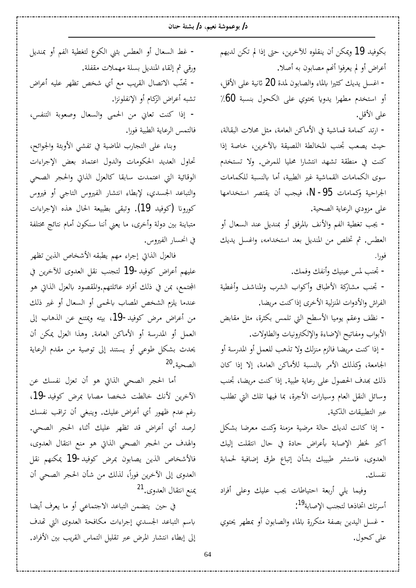بكوفيد 19 ويمكن أن ينقلوه للأخرين، حتى إذا لم تكن لديهم أعراض أو لم يعرفوا أنهم مصابون به أصلا. - اغسل يديك كثيرا بالماء والصابون لمدة 20 ثانية على الأقل، أو استخدم مطهرا يدويا يحتوي على الكحول بنسبة 60٪ على الأقل. − ارتد كمامة قماشية في الأماكن العامة، مثل محلات البقالة، حيث يصعب تجنب المخالطة اللصيقة بالآخرين، خاصة إذا كنت في منطقة تشهد انتشارا محليا للمرض. ولا تستخدم سوى الكمامات القماشية غير الطبية، أما بالنسبة للكمامات الجراحية وكمامات N-95، فيجب أن يقتصر استخدامها على مزودي الرعاية الصحية. - يجب تغطية الفم والأنف بالمرفق أو بمنديل عند السعال أو العطس. ثم تخلص من المنديل بعد استخدامه، واغسل يديك فورا . - تجنب لمس عينيك وأنفك وفمك. − تجنب مشاركة الأطباق وأكواب الشرب والمناشف وأغطية الفراش والأدوات المنزلية الأخرى إذاكنت مريضا. − نظف وعقم يوميا الأسطح التي تلمس بكثرة، مثل مقابض الأبواب ومفاتيح الإضاءة والإلكترونيات والطاولات. − إذا كنت مريضا فالزم منزلك ولا تذهب للعمل أو المدرسة أو الجامعة، وكذلك الأمر بالنسبة للأماكن العامة، إلا إذا كان ذلك بهدف الحصول على رعاية طبية. إذا كنت مريضا، تجنب وسائل النقل العام وسيارات الأجرة، بما فيها تلك التي تطلب عبر التطبيقات الذكية. - إذا كانت لديك حالة مرضية مزمنة وكنت معرضا بشكل أكبر لخطر الإصابة بأعراض حادة في حال انتقلت إليك العدوى، فاستشر طبيبك بشأن إتباع طرق إضافية لحماية نفسك. وفيما يلي أربعة احتياطات يجب عليك وعلى أفراد أسرتك اتخاذها لتجنب الإصابة<sup>19</sup>[:](#page-14-16) − غسل اليدين بصفة متكررة بالماء والصابون أو بمطهر يحتوي

على كحول.

- غط السعال أو العطس بثنى الكوع لتغطية الفم أو بمنديل ورقي ثم إلقاء المنديل بسلة مهملات مقفلة. − تجنّب الاتصال القريب مع أي شخص تظهر عليه أعراض تشبه أعراض الزكام أو الإنفلونزا. - إذا كنت تعاني من الحمى والسعال وصعوبة التنفس، فالتمس الرعاية الطبية فورا.

وبناء على التجارب الماضية في تفشي الأوبئة والجوائح، تحاول العديد الحكومات والدول اعتماد بعض الإجراءات الوقائية التي اعتمدت سابقا كالعزل الذاتي والحجر الصحى والتباعد الجسدي، لإبطاء انتشار الفيروس التاجي أو فيروس كورونا (كوفيد 19). وتبقى بطبيعة الحال هذه الإجراءات متباينة بين دولة وأخرى، ما يعني أننا سنكون أمام نتائج مختلفة في انحسار الفيروس.

فالعزل الذاتي إجراء مهم يطبقه الأشخاص الذين تظهر عليهم أعراض كوفيد-19 لتجنب نقل العدوى للآخرين في المجتمع، بمن في ذلك أفراد عائلتهم.والمقصود بالعزل الذاتي هو عندما يلزم الشخص المصاب بالحمى أو السعال أو غير ذلك من أعراض مرض كوفيد−19، بيته ويمتنع عن الذهاب إلى العمل أو المدرسة أو الأماكن العامة. وهذا العزل يمكن أن يحدث بشكل طوعى أو يستند إلى توصية من مقدم الرعاية الصحية.<sup>[20](#page-14-17)</sup>

أما الحجر الصحى الذاتي هو أن تعزل نفسك عن الآخرين لأنك خالطت شخصا مصابا بمرض كوفيد-19، رغم عدم ظهور أي أعراض عليك. وينبغي أن تراقب نفسك لرصد أي أعراض قد تظهر عليك أثناء الحجر الصحى. والهدف من الحجر الصحى الذاتي هو منع انتقال العدوى، فالأشخاص الذين يصابون بمرض كوفيد-19 يمكنهم نقل العدوى إلى الآخرين فوراً، لذلك من شأن الحجر الصحي أن يمنع انتقال العدوي.<sup>[21](#page-14-18)</sup>

في حين يتضمن التباعد الاجتماعي أو ما يعرف أيضا باسم التباعد الجسدي إجراءات مكافحة العدوى التي تهدف إلى إبطاء انتشار المرض عبر تقليل التماس القريب بين الأفراد.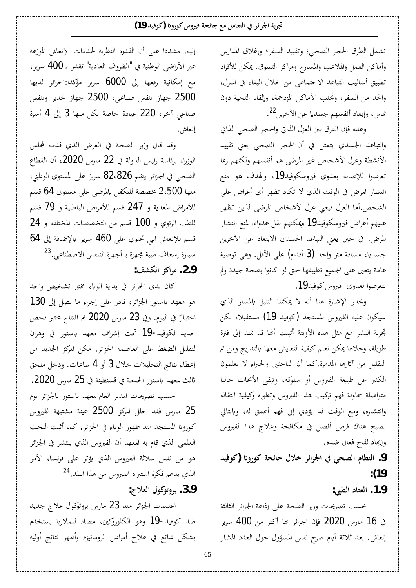تشمل الطرق الحجر الصحي؛ وتقييد السفر؛ وإغلاق المدارس وأماكن العمل والملاعب والمسارح ومراكز التسوق. يمكن للأفراد تطبيق أساليب التباعد الاجتماعي من خلال البقاء في المنزل، والحد من السفر، وتجنب الأماكن المزدحمة، وإلقاء التحية دون تماس، وإبعاد أنفسهم جسديا عن الأخرين<sup>22</sup>[.](#page-14-19)

وعليه فإن الفرق بين العزل الذاتي والحجر الصحى الذاتي والتباعد الجسدي يتمثل في أن:الحجر الصحي يعني تقييد الأنشطة وعزل الأشخاص غير المرضى هم أنفسهم ولكنهم ربما تعرضوا للإصابة بعدوى فيروسكوفيد19، والهدف هو منع انتشار المرض في الوقت الذي لا تكاد تظهر أي أعراض على الشخص.أما العزل فيعني عزل الأشخاص المرضي الذين تظهر عليهم أعراض فيروسكوفيد19 ويمكنهم نقل عدواه، لمنع انتشار المرض. في حين يعني التباعد الجسدي الابتعاد عن الآخرين جسديا، مسافة متر واحد (3 أقدام) على الأقل. وهي توصية عامة يتعين على الجميع تطبيقها حتى لو كانوا بصحة جيدة ولم يتعرضوا لعدوى فيروس كوفيد19.

وتجدر الإشارة هنا أنه لا يمكننا التنبؤ بالمسار الذي سيكون عليه الفيروس المستجد (كوفيد 19) مستقبلا، لكن تِحربة البشر مع مثل هذه الأوبئة أثبتت أنها قد تمتد إلى فترة طويلة، وخلالها يمكن تعلم كيفية التعايش معها بالتدريج ومن ثم التقليل من آثارها المدمرة.كما أن الباحثين والخبراء لا يعلمون الكثير عن طبيعة الفيروس أو سلوكه، وتبقى الأبحاث حاليا متواصلة لمحاولة فهم تركيب هذا الفيروس وتطوره وكيفية انتقاله وانتشاره، ومع الوقت قد يؤدي إلى فهم أعمق له، وبالتالي تصبح هناك فرص أفضل في مكافحة وعلاج هذا الفيروس وإيجاد لقاح فعال ضده.

9. النظام الصحى في الجزائر خلال جائحة كورونا (كوفيد  **:(19**

 **:œǘdz¦®ƢƬǠdz¦ .1.9**

بحسب تصريحات وزير الصحة على إذاعة الجزائر الثالثة في 16 مارس 2020 فإن الجزائر بما أكثر من 400 سرير إنعاش. بعد ثلاثة أيام صرح نفس المسؤول حول العدد المشار

إليه، مشددا على أن القدرة النظرية لخدمات الإنعاش الموزعة عبر الأراضي الوطنية في "الظروف العادية" تقدر بـ 400 سرير، مع إمكانية رفعها إلى 6000 سرير مؤكدا:الجزائر لديها 2500 جهاز تنفس صناعي، 2500 جهاز تخدير وتنفس صناعي آخر، 220 عيادة خاصة لكل منها 3 إلى 4 أسرة إنعاش.

وقد قال وزير الصحة في العرض الذي قدمه لمجلس الوزراء برئاسة رئيس الدولة في 22 مارس 2020، أن القطاع الصحي في الجزائر يضم 82،826 سريرًا على المستوى الوطني، ر<br>ا منها 2،500 مخصصة للتكفل بالمرضى على مستوى 64 قسم للأمراض المعدية و 247 قسم للأمراض الباطنية و 79 قسم للطب الرئوي و 100 قسم من التخصصات المختلفة و 24 قسم للإنعاش التي تحتوي على 460 سرير بالإضافة إلى 64 سيارة إسعاف طبية مجهزة بـ أجهزة التنفس الاصطناعي.<sup>[23](#page-14-20)</sup>  **:Ǧnjǰdz¦DŽǯ¦ǂǷ .2.9**

كان لدى الجزائر في بداية الوباء مختبر تشخيص واحد هو معهد باستور الجزائر، قادر على إجراء ما يصل إلى 130 اختبارًا في اليوم. وفي 23 مارس 2020 تم افتتاح مختبر فحص Å جديد لكوفيد-19 تحت إشراف معهد باستور في وهران لتقليل الضغط على العاصمة الجزائر. مكن المركز الجديد من إعطاء نتائج التحليلات خلال 3 أو 4 ساعات. ودخل ملحق ثالث لمعهد باستور الخدمة في قسنطينة في 25 مارس 2020. حسب تصريحات المدير العام لمعهد باستور بالجزائر يوم

دارس فقد حلل المركز 2500 عينة مشتبهة لفيروس  $25$ كورونا المستجد منذ ظهور الوباء في الجزائر. كما أثبت البحث العلمي الذي قام به المعهد أن الفيروس الذي ينتشر في الجزائر هو من نفس سلالة الفيروس الذي يؤثر على فرنسا، الأمر الذي يدعم فكرة استيراد الفيروس من هذا البلد.<sup>[24](#page-15-0)</sup> 3.9. بروتوكول العلاج:

اعتمدت الجزائر منذ 23 مارس بروتوكول علاج جديد ضد كوفيد-19 وهو الكلوروكين، مضاد للملاريا يستخدم بشكل شائع في علاج أمراض الروماتيزم وأظهر نتائج أولية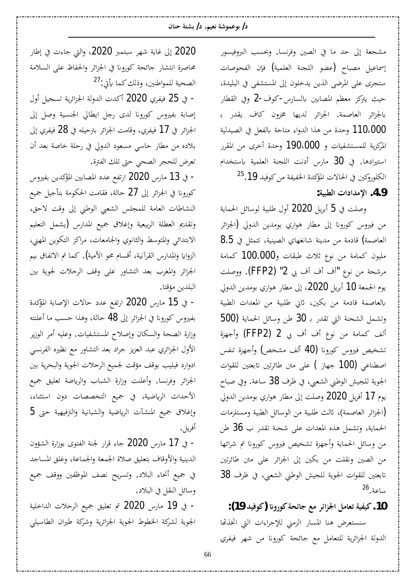مشجعة إلى حد ما في الصين وفرنسا. وبحسب البروفيسور إسماعيل مصباح (عضو اللجنة العلمية) فإن الفحوصات ستجرى على المرضى الذين يدخلون إلى المستشفى في البليدة، حيث يتركز معظم المصابين بالسارس-كوف-2 وفي القطار بالجزائر العاصمة. الجزائر لديها مخزون كاف يقدر بـ وحدة من هذا الدواء متاحة بالفعل في الصيدلية I $10.000$ المركزية للمستشفيات و 190،000 وحدة أخرى من المقرر استيرادها. في 30 مارس أدنت اللجنة العلمية باستخدام الكلوروكين في الحالات المؤكدة الخفيفة من كوفيد 19. $^{25}.19$  $^{25}.19$  $^{25}.19$  **:ƨȈƦǘdz¦©¦®¦ƾǷȍ¦ .4.9**

وصلت في 5 أبريل 2020 أول طلبية لوسائل الحماية من فيروس كورونا إلى مطار هواري بومدين الدولي (الجزائر 8.5 العاصمة) قادمة من مدينة شانغهاي الصينية، تتمثل في مليون كمامة من نوع ثلاث طبقات و100.000 كمامة مرشحة من نوع "أف أف بي 2" (FFP2). ووصلت يوم الجمعة 10 أبريل 2020، إلى مطار هواري بومدين الدولي بالعاصمة قادمة من بكين، ثاني طلبية من المعدات الطبية 500) وتشمل الشحنة التي تقدر بـ 30 طن وسائل الحماية ألف كمامة من نوع أف أف بي 2 (FFP2) وأجهزة تشخيص فيروس كورونا (40 ألف مشخص) وأجهزة تنفس اصطناعي (100 جهاز ) على متن طائرتين تابعتين للقوات الجوية للجيش الوطني الشعبي، في ظرف 38 ساعة. وفي صباح يوم 17 أفريل 2020 وصلت إلى مطار هواري بومدين الدولي لإخزائر العاصمة)، ثالث طلبية من الوسائل الطبية ومستلزمات الحماية، وتشمل هذه المعدات على شحنة تقدر ب 36 طن من وسائل الحماية وأجهزة تشخيص فيروس كورونا تم شرائها من الصين ونقلت من بكين إلى الجزائر على متن طائرتين تابعتين للقوات الجوية للجيش الوطني الشعبي، في ظرف 38  $26$ . ساعة

 **:(19ƾȈǧȂǯ) ʭ°ȂǯƨƸƟƢƳǞǷǂƟ¦DŽŪ¦DzǷƢǠƫƨȈǨȈǯ .10**

سنستعرض هنا المسار الزمني للإجراءات التي اتخذتها الدولة الجزائرية للتعامل مع جائحة كورونا من شهر فيفري

2020 إلى غاية شهر سبتمبر 2020، والتي جاءت في إطار محاصرة انتشار جائحة كورونا في الجزائر والحفاظ على السلامة الصحية للمواطنين، وذلك كما يأتي:<sup>[27](#page-15-3)</sup>

- في 25 فيفري 2020 أكدت الدولة الجزائرية تسجيل أول إصابة بفيروس كورونا لدى رجل ايطالي الجنسية وصل إلى الجزائر في 17 فيفري، وقامت الجزائر بترحيله في 28 فيفري إلى بلاده من مطار حاسي مسعود الدولي في رحلة خاصة بعد أن تعرض للحجر الصحي حتى تلك الفترة.

− في 13 مارس 2020 ارتفع عدد المصابين المؤكدين بفيروس كورونا في الجزائر إلى 27 حالة، فقامت الحكومة بتأجيل جميع النشاطات العامة للمجلس الشعبي الوطني إلى وقت لاحق، وتقديم العطلة الربيعية وإغلاق جميع المدارس (يشمل التعليم الابتدائ<sub>ي</sub> والمتوسط والثانوي والجامعات، مراكز التكوين المهني، الزوايا والمدارس القرآنية، أقسام محو الأمية). كما تم الاتفاق بيم الجزائر والمغرب بعد التشاور على وقف الرحلات لجوية بين البلدين مؤقتا.

ق 15 مارس 2020 ارتفع عدد حالات الإصابة المؤكدة -بفيروس كورونا في الجزائر إلى **48** حالة، وهذا حسب ما أعلنته وزارة الصحة والسكان وإصلاح المستشفيات. وعليه أمر الوزير الأول الجزائري عبد العزيز جراد بعد التشاور مع نظيره الفرنسي ادوارد فيليب بوقف مؤقت لجميع الرحلات الجوية والبحرية بين الجزائر وفرنسا. وأعلنت وزارة الشباب والرياضة تعليق جميع الأحداث الرياضية، في جميع التخصصات دون استثناء،  $_5$ وإغلاق جميع المنشآت الرياضية والشبانية والترفيهية حتى أفريل.

− في 17 مارس 2020 جاء قرار لجنة الفتوى بوزارة الشؤون الدينية والأوقاف بتعليق صلاة الجمعة والجماعة، وغلق المساجد في جميع أنحاء البلاد. وتسريح نصف الموظفين ووقف جميع وسائل النقل في البلاد.

- في 19 مارس 2020 تم تعليق جميع الرحلات الداخلية الجوية لشركة الخطوط الجوية الجزائرية وشركة طيران الطاسيلي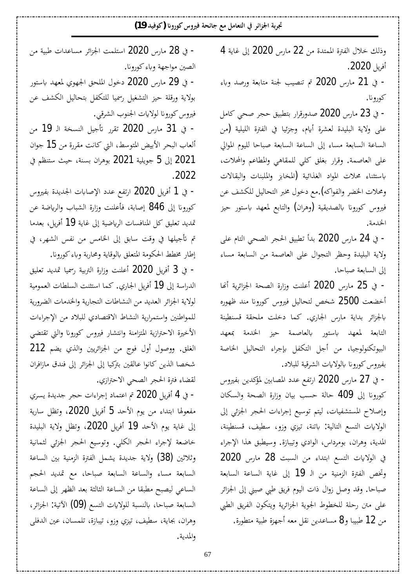وذلك خلال الفترة الممتدة من 22 مارس 2020 إلى غاية 4 أفريل 2020.

خ 21 مارس 2020 تم تنصيب لجنة متابعة ورصد وباء -كورونا.

- في 23 مارس 2020 صدورقرار بتطبيق حجر صحى كامل على ولاية البليدة لعشرة أيام، وجزئيا في الفترة الليلية (من الساعة السابعة مساء إلى الساعة السابعة صباحا لليوم الموالي على العاصمة. وقرار بغلق كلى للمقاهي والمطاعم والمحلات، باستثناء محلات المواد الغذائية (المخابز والملبنات والبقالات ومحلات الخضر والفواكه).مع دخول مخبر التحاليل للكشف عن فيروس كورونا بالصديقية (وهران) والتابع لمعهد باستور حيز الخدمة.

– في 24 مارس 2020 بدأ تطبيق الحجر الصحى التام على ولاية البليدة وحظر التجوال على العاصمة من السابعة مساء إلى السابعة صباحا.

− في 25 مارس 2020 أعلنت وزارة الصحة الجزائرية أنها أخضعت 2500 شخص لتحاليل فيروس كورونا مند ظهوره بالجزائر بداية مارس الجاري. كما دخلت ملحقة قسنطينة التابعة لمعهد باستور بالعاصمة حيز الخدمة بمعهد البيوتكنولوجيا، من أجل التكفل بإجراء التحاليل الخاصة بفيروس كورونا بالولايات الشرقية للبلاد.

− في 27 مارس 2020 ارتفع عدد المصابين لمؤكدين بفيروس كورونا إلى 409 حالة حسب بيان وزارة الصحة والسكان وإصلاح المستشفيات، ليتم توسيع إجراءات الحجر الجزئي إلى الولايات التسع التالية: باتنة، تيزي وزو، سطيف، قسنطينة، المدية، وهران، بومرداس، الوادي وتيبازة. وسيطبق هذا الإجراء في الولايات التسع ابتداء من السبت 28 مارس 2020 وتخص الفترة الزمنية من الـ 19 إلى غاية الساعة السابعة صباحا. وقد وصل زوال ذات اليوم فريق طبي صيني إلى الجزائر على متن رحلة للخطوط الجوية الجزائرية ويتكون الفريق الطبي من 12 طبيبا و8 مساعدين نقل معه أجهزة طبية متطورة.

– في 28 مارس 2020 استلمت الجزائر مساعدات طبية من الصين مواجهة وباء كورونا.

- في 29 مارس 2020 دخول الملحق الجهوي لمعهد باستور بولاية ورقلة حيز التشغيل رسميا للتكفل بتحاليل الكشف عن فيروس كورونا لولايات الجنوب الشرقي.

- في 31 مارس 2020 تقرر تأجيل النسخة الـ 19 من ألعاب البحر الأبيض المتوسط، التي كانت مقررة من 15 جوان 2021 إلى 5 جويلية 2021 بوهران بسنة، حيث ستنظم في .2022

خ 1 أفريل 2020 ارتفع عدد الإصابات الجديدة بفيروس -كورونا إلى 846 إصابة، فأعلنت وزارة الشباب والرياضة عن تمديد تعليق كل المنافسات الرياضية إلى غاية **19** أفريل، بعدما تم تأجيلها في وقت سابق إلى الخامس من نفس الشهر، في إطار مخطط الحكومة المتعلق بالوقاية ومحاربة وباء كورونا.

– في 3 أفريل 2020 أعلنت وزارة التربية رسميا تمديد تعليق الدراسة إلى **19** أفريل الجاري. كما استثنت السلطات العمومية لولاية الجزائر العديد من النشاطات التجارية والخدمات الضرورية للمواطنين واستمرارية النشاط الاقتصادي للبلاد من الإجراءات الأخيرة الاحترازية المتزامنة وانتشار فيروس كورونا والتي تقتضي الغلق. ووصول أول فوج من الجزائريين والذي يضم 212 شخصا الذين كانوا عالقين بتركيا إلى الجزائر إلى فندق مازافران لقضاء فترة الحجر الصحي الاحترازي.

خ 4 أفريل 2020 تم اعتماد إجراءات حجر جديدة يسري = مفعولها ابتداء من يوم الأحد 5 أفريل 2020، وتظل سارية إلى غاية يوم الأحد 19 أفريل 2020، وتظل ولاية البليدة خاضعة لإجراء الحجر الكلى. وتوسيع الحجر الجزئي لثمانية وثلاثين (38) ولاية جديدة يشمل الفترة الزمنية بين الساعة السابعة مساء والساعة السابعة صباحا، مع تمديد الحجم الساعي ليصبح مطبقا من الساعة الثالثة بعد الظهر إلى الساعة السابعة صباحا، بالنسبة للولايات التسع (09) الآتية: الجزائر، وهران، بجاية، سطيف، تيزي وزو، تيبازة، تلمسان، عين الدفلي والمدية.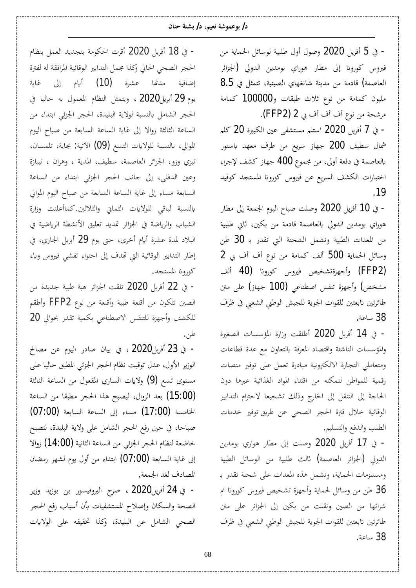#### **ÀƢǼƷƨƬnjƥ /®ǶȈǠǻƨNjȂǸǟȂƥ /®**

– في 5 أفريل 2020 وصول أول طلبية لوسائل الحماية من فيروس كورونا إلى مطار هوراي بومدين الدولي (الجزائر 8.5 العاصمة) قادمة من مدينة شانغهاي الصينية، تتمثل في مليون كمامة من نوع ثلاث طبقات و100000 كمامة مرشحة من نوع أف أف بي 2 (FFP2).

– في 7 أفريل 2020 استلم مستشفى عين الكبيرة 20 كلم شمال سطيف 200 جهاز سريع من طرف معهد باستور بالعاصمة في دفعة أولى، من مجموع 400 جهاز كشف لإجراء اختبارات الكشف السريع عن فيروس كورونا المستجد كوفيد .19

°ƢǘǷń¤ƨǠǸŪ¦¿ȂȈdz¦¬ƢƦǏƪǴǏÂ 2020 Dzȇǂǧ¢ 10 Ŀ - هوراي بومدين الدولي بالعاصمة قادمة من بكين، ثاني طلبية من المعدات الطبية وتشمل الشحنة التي تقدر بـ 30 طن وسائل الحماية 500 ألف كمامة من نوع أف أف بي 2 (FFP2) وأجهزةتشخيص فيروس كورونا (40 ألف مشخص) وأجهزة تنفس اصطناعي (100 جهاز) على متن طائرتين تابعتين للقوات الجوية للجيش الوطني الشعبي في ظرف .ƨǟƢLJ 38

= في 14 أفريل 2020 أطلقت وزارة المؤسسات الصغيرة والمؤسسات الناشئة واقتصاد المعرفة بالتعاون مع عدة قطاعات ومتعاملي التجارة الالكترونية مبادرة تعمل على توفير منصات رقمية للمواطن لتمكنه من اقتناء المواد الغذائية عبرها دون الحاجة إلى التنقل إلى الخارج وذلك تشجيعا لاحترام التدابير الوقائية خلال فترة الحجر الصحى عن طريق توفير خدمات الطلب والدفع والتسليم.

- في 17 أفريل 2020 وصلت إلى مطار هواري بومدين الدولي (الجزائر العاصمة) ثالث طلبية من الوسائل الطبية ومستلزمات الحماية، وتشمل هذه المعدات على شحنة تقدر بـ ظن من وسائل لحماية وأجهزة تشخيص فيروس كورونا تم  $36\,$ شرائها من الصين ونقلت من بكين إلى الجزائر على متن طائرتين تابعتين للقوات الجوية للجيش الوطني الشعبي في ظرف 38 ساعة.

− في 18 أفريل 2020 أقرت الحكومة بتجديد العمل بنظام الحجر الصحى الحالي وكذا مجمل التدابير الوقائية المرافقة له لفترة إضافية مدتّما عشرة **(10)** أيام إلى غاية يوم [29](https://ar.wikipedia.org/wiki/29_%D8%A3%D8%A8%D8%B1%D9%8A%D9%84) أبريل2020 ، ويتمثل النظام المعمول به حاليا في الحجر الشامل بالنسبة لولاية البليدة، الحجر الجزئي ابتداء من الساعة الثالثة زوالا إلى غاية الساعة السابعة من صباح اليوم الموالي، بالنسبة للولايات التسع (09) الآتية: بجاية، تلمسان، تيزي وزو، الجزائر العاصمة، سطيف، المدية ، وهران ، تيبازة وعين الدفلي، إلى جانب الحجر الجزئي ابتداء من الساعة السابعة مساء إلى غاية الساعة السابعة من صباح اليوم الموالي بالنسبة لباقي للولايات الثماني والثلاثين.كماأعلنت وزارة الشباب والرياضة في الجزائر تمديد تعليق الأنشطة الرياضية في البلاد لمدة عشرة أيام أخرى، حتى يوم **29** أبريل الجاري، في إطار التدابير الوقائية التي تهدف إلى احتواء تفشي فيروس وباء كورونا المستجد.

خ 22 أفريل 2020 تلقت الجزائر هبة طبية جديدة من الصين تتكون من أقنعة طبية وأقنعة من نوع FFP2 وأطقم للكشف وأجهزة للتنفس الاصطناعي بكمية تقدر بحوالي 20 .ǺǗ

خفي [23](https://ar.wikipedia.org/wiki/23_%D8%A3%D8%A8%D8%B1%D9%8A%D9%84) أفريل2020 ، في بيان صادر اليوم عن مصالح الوزير الأول، عدل توقيت نظام الحجر الجزئي المطبق حاليا على مستوى تسع (9) ولايات الساري المفعول من الساعة الثالثة (15:00) بعد الزوال، ليصبح هذا الحجر مطبقا من الساعة الخامسة (17:00) مساء إلى الساعة السابعة (07:00) صباحا، في حين رفع الحجر الشامل على ولاية البليدة، لتصبح خاضعة لنظام الحجر الجزئي من الساعة الثانية (14:00) زوالا إلى غاية السابعة (07:00) ابتداء من أول يوم لشهر رمضان المصادف لغد الجمعة.

−في [24](https://ar.wikipedia.org/wiki/24_%D8%A3%D8%A8%D8%B1%D9%8A%D9%84) أفريل2020 ، صرح البروفيسور بن بوزيد وزير الصحة والسكان وإصلاح المستشفيات بأن أسباب رفع الحجر الصحى الشامل عن البليدة، وكذا تخفيفه على الولايات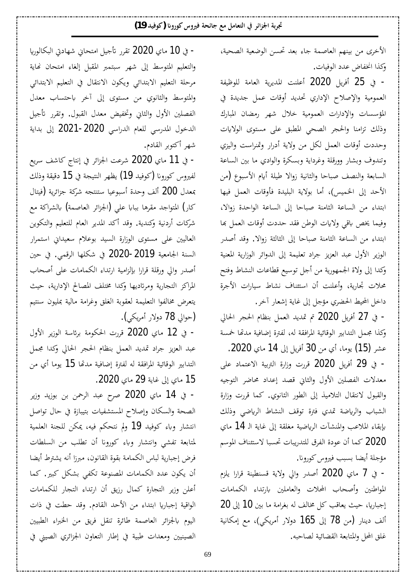الأخرى من بينهم العاصمة جاء بعد تحسن الوضعية الصحية، وكذا انخفاض عدد الوفيات.

– في 25 أفريل 2020 أعلنت المديرية العامة للوظيفة العمومية والإصلاح الإداري تحديد أوقات عمل جديدة في المؤسسات والإدارات العمومية خلال شهر رمضان المبارك وذلك تزامنا والحجر الصحى المطبق على مستوى الولايات وحددت أوقات العمل لكل من ولاية أدرار وتمنراست واليزي وتندوف وبشار وورقلة وغرداية وبسكرة والوادي ما بين الساعة السابعة والنصف صباحا والثانية زوالا طيلة أيام الأسبوع (من الأحد إلى الخميس)، أما بولاية البليدة فأوقات العمل فيها ابتداء من الساعة الثامنة صباحا إلى الساعة الواحدة زوالا، وفيما يخص باقى ولايات الوطن فقد حددت أوقات العمل بما ابتداء من الساعة الثامنة صباحا إلى الثالثة زوالا. وقد أصدر الوزير الأول عبد العزيز جراد تعليمة إلى الدوائر الوزارية المعنية وكدا إلى ولاة الجمهورية من أجل توسيع قطاعات النشاط وفتح محلات تجارية، وأعلنت أن استئناف نشاط سيارات الأجرة داخل المحيط الحضري مؤجل إلى غاية إشعار آخر.

- في 27 أفريل 2020 تم تمديد العمل بنظام الحجر الحالي وكذا مجمل التدابير الوقائية المرافقة له، لفترة إضافية مدتما خمسة عشر (15) يوما، أي من 30 أفريل إلى 14 ماي 2020. – في 29 أفريل 2020 قررت وزارة التربية الاعتماد على معدلات الفصلين الأول والثاني قصد إعداد محاضر التوجيه والقبول لانتقال التلاميذ إلى الطور الثانوي. كما قررت وزارة الشباب والرياضة تمدي فترة توقف النشاط الرياضي وذلك بإبقاء الملاعب والمنشآت الرياضية مغلقة إلى غاية الـ 14 ماي وكو20 كما أن عودة الفرق للتدريبات تحسبا لاستئناف الموسم / مؤجلة أيضا بسبب فيروس كورونا.

− في 7 ماي 2020 أصدر والي ولاية قسنطينة قرارا يلزم المواطنين وأصحاب المحلات والعاملين بارتداء الكمامات  $20$  إجباريا، حيث يعاقب كل مخالف له بغرامة ما بين 10 إلى ألف دينار (من 78 إلى 165 دولار أمريكي)، مع إمكانية غلق المحل والمتابعة القضائية لصاحبه.

خ 10 ماي 2020 تقرر تأجيل امتحاني شهادتي البكالوريا – والتعليم المتوسط إلى شهر سبتمبر المقبل إلغاء امتحان نهاية مرحلة التعليم الابتدائي ويكون الانتقال في التعليم الابتدائي والمتوسط والثانوي من مستوى إلى آخر باحتساب معدل الفصلين الأول والثاني وتخفيض معدل القبول. وتقرر تأجيل الدخول المدرسي للعام الدراسي 2020-2021 إلى بداية شهر أكتوبر القادم.

– في 11 ماي 2020 شرعت الجزائر في إنتاج كاشف سريع لفيروس كورونا (كوفيد 19) يظهر النتيجة في 15 دقيقة وذلك بمعدل 200 ألف وحدة أسبوعيا ستنتجه شركة جزائرية (فيتال كار) المتواجد مقرها ببابا على (الجزائر العاصمة) بالشراكة مع شركات أردنية وكندية. وقد أكد المدير العام للتعليم والتكوين العاليين على مستوى الوزارة السيد بوعلام سعيداني استمرار السنة الجامعية **2019-2020** في شكلها الرقمي. في حين أصدر والي ورقلة قرارا بإلزامية ارتداء الكمامات على أصحاب المراكز التجارية ومرتاديها وكدا مختلف المصالح الإدارية، حيث يتعرض مخالفوا التعليمة لعقوبة الغلق وغرامة مالية بمليون سنتيم حوالي 78 دولار أمريكي).

− في 12 ماي 2020 قررت الحكومة برئاسة الوزير الأول عبد العزيز جراد تمديد العمل بنظام الحجر الحالي وكدا مجمل التدابير الوقائية المرافقة له لفترة إضافية مدتها 15 يوما أي من 15 ماي إلى غاية 29 ماي 2020.

− في 14 ماي 2020 صرح عبد الرحمن بن بوزيد وزير الصحة والسكان وإصلاح المستشفيات بتيبازة في حال تواصل انتشار وباء كوفيد **19** ولم نتحكم فيه، يمكن للجنة العلمية لمتابعة تفشي وانتشار وباء كورونا أن تطلب من السلطات فرض إجبارية لباس الكمامة بقوة القانون، مبرزا أنه يشترط أيضا أن يكون عدد الكمامات المصنوعة تكفى بشكل كبير. كما أعلن وزير التجارة كمال رزيق أن ارتداء التجار للكمامات الواقية إجباريا ابتداء من الأحد القادم. وقد حطت في ذات اليوم بالجزائر العاصمة طائرة تنقل فريق من الخبراء الطبيين الصينيين ومعدات طبية في إطار التعاون الجزائري الصيني في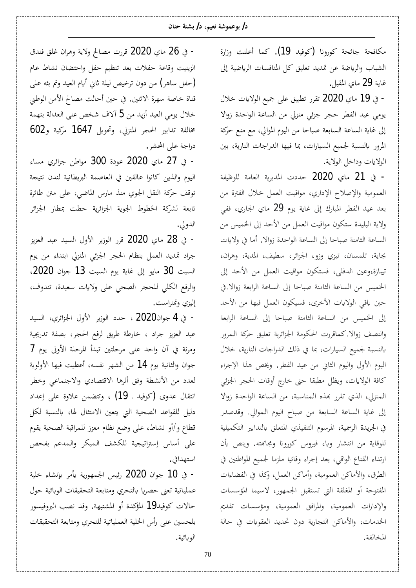#### **ÀƢǼƷƨƬnjƥ /®ǶȈǠǻƨNjȂǸǟȂƥ /®**

مكافحة جائحة كورونا (كوفيد 19). كما أعلنت وزارة الشباب والرياضة عن تمديد تعليق كل المنافسات الرياضية إلى غاية **29** ماي المقبل.

- في 19 ماي 2020 تقرر تطبيق على جميع الولايات خلال يومي عيد الفطر حجر جزئي منزلي من الساعة الواحدة زوالا إلى غاية الساعة السابعة صباحا من اليوم الموالي، مع منع حركة المرور بالنسبة لجميع السيارات، بما فيها الدراجات النارية، بين الولايات وداخل الولاية.

ق 21 ماي 2020 حددت المديرية العامة للوظيفة – العمومية والإصلاح الإداري، مواقيت العمل خلال الفترة من بعد عيد الفطر المبارك إلى غاية يوم 29 ماي الجاري، ففي ولاية البليدة ستكون مواقيت العمل من الأحد إلى الخميس من الساعة الثامنة صباحا إلى الساعة الواحدة زوالا. أما في ولايات بجاية، تلمسان، تيزي وزو، الجزائر، سطيف، المدية، وهران، تيبازة،وعين الدفلي، فستكون مواقيت العمل من الأحد إلى الخميس من الساعة الثامنة صباحا إلى الساعة الرابعة زوالا.في حين باقي الولايات الأخرى، فسيكون العمل فيها من الأحد إلى الخميس من الساعة الثامنة صباحا إلى الساعة الرابعة والنصف زوالا.كماقررت الحكومة الجزائرية تعليق حركة المرور بالنسبة لجميع السيارات، بما في ذلك الدراجات النارية، خلال اليوم الأول واليوم الثاني من عيد الفطر. ويخص هذا الإجراء كافة الولايات، ويظل مطبقا حتى خارج أوقات الحجر الجزئي المنزلي، الذي تقرر بهذه المناسبة، من الساعة الواحدة زوالا إلى غاية الساعة السابعة من صباح اليوم الموالي. وقدصدر في الجريدة الرسمية، المرسوم التنفيذي المتعلق بالتدابير التكميلية للوقاية من انتشار وباء فيروس كورونا ومجابحته. وينص بأن ارتداء القناع الواقي، يعد إجراء وقائيا ملزما لجميع المواطنين في الطرق، والأماكن العمومية، وأماكن العمل، وكذا في الفضاءات المفتوحة أو المغلقة التي تستقبل الجمهور، لاسيما المؤسسات والإدارات العمومية، والمرافق العمومية، ومؤسسات تقديم الخدمات، والأماكن التجارية دون تحديد العقوبات في حالة المخالفة.

- في 26 ماي 2020 قررت مصالح ولاية وهران غلق فندق الزينيت وقاعة حفلات بعد تنظيم حفل واحتضان نشاط عام خفل ساهر) من دون ترخيص ليلة ثاني أيام العيد وتم بثه على) قناة خاصة سهرة الاثنين. في حين أحالت مصالح الأمن الوطني خلال يومي العيد أزيد من 5 آلاف شخص على العدالة بتهمة مخالفة تدابير الحجر المنزلي، وتحويل 1647 مركبة و602 دراجة على المحشر.

ق 27 ماي 2020 عودة 300 مواطن جزائري مساء -اليوم والذين كانوا عالقين في العاصمة البريطانية لندن نتيجة توقف حركة النقل الجوي منذ مارس الماضي، على متن طائرة تابعة لشركة الخطوط الجوية الجزائرية حطت بمطار الجزائر الدولي.

– في 28 ماي 2020 قرر الوزير الأول السيد عبد العزيز جراد تمديد العمل بنظام الحجر الجزئي المنزلي ابتداء من يوم السبت 30 مايو إلى غاية يوم السبت 13 جوان 2020، والرفع الكلى للحجر الصحي على ولايات سعيدة، تندوف، إليزي وتمنراست.

-في [4](https://ar.wikipedia.org/wiki/4_%D9%8A%D9%88%D9%86%D9%8A%D9%88) جوان2020 ، حدد الوزير الأول الجزائري، السيد عبد العزيز جراد ، خارطة طريق لرفع الحجر، بصفة تدريجية ومرنة في آن واحد على مرحلتين تبدأ المرحلة الأولى يوم 7 جوان والثانية يوم 14 من الشهر نفسه، أعطيت فيها الأولوية لعدد من الأنشطة وفق أثرها الاقتصادي والاجتماعي وخطر انتقال عدوى (كوفيد . 19) ، وتتضمن علاوة على إعداد دليل للقواعد الصحية التي يتعين الامتثال لها، بالنسبة لكل قطاع و/أو نشاط، على وضع نظام معزز للمراقبة الصحية يقوم غلى أساس إستراتيجية للكشف المبكر والمدعم بفحص استهدافي.

- في 10 جوان 2020 رئيس الجمهورية يأمر بإنشاء خلية عملياتية تعني حصريا بالتحري ومتابعة التحقيقات الوبائية حول حالات كوفيد19 المؤكدة أو المشتبهة. وقد نصب البروفيسور بلحسين على رأس الخلية العملياتية للتحري ومتابعة التحقيقات الو بائية.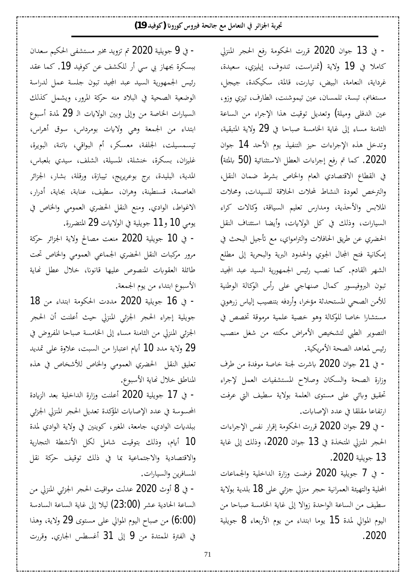- في 13 جوان 2020 قررت الحكومة رفع الحجر المنزلي كاملا في 19 ولاية (تمنراست، تندوف، إيليزي، سعيدة، غرداية، النعامة، البيض، تيارت، قالمة، سكيكدة، جيجل، مستغانم، تبسة، تلمسان، عين تيموشنت، الطارف، تيزي وزو، عين الدفلي وميلة**)** وتعديل توقيت هذا الإجراء من الساعة الثامنة مساء إلى غاية الخامسة صباحا في 29 ولاية المتبقية، وتدخل هذه الإجراءات حيز التنفيذ يوم الأحد 14 جوان (2020. كما تم رفع إجراءات العطل الاستثنائية (50 بالمئة) في القطاع الاقتصادي العام والخاص بشرط ضمان النقل، والترخص لعودة النشاط لمحلات الحلاقة للسيدات، ومحلات الملابس والأحذية، ومدارس تعليم السياقة، وكالات كراء السيارات، وذلك في كل الولايات، وأيضا استئناف النقل الحضري عن طريق الحافلات والترامواي، مع تأجيل البحث في إمكانية فتح المجال الجوي والحدود البرية والبحرية إلى مطلع الشهر القادم. كما نصب رئيس الجمهورية السيد عبد المجيد تبون البروفيسور كمال صنهاجي على رأس الوكالة الوطنية للأمن الصحي المستحدثة مؤخرا، وأردفه بتنصيب إلياس زرهوني مستشارا خاصا للوكالة وهو خصية علمية مرموقة تخصص في التصوير الطبي لتشخيص الأمراض مكنته من شغل منصب رئيس لمعاهد الصحة الأمريكية.

خ 21 جوان 2020 باشرت لجنة خاصة موفدة من طرف = وزارة الصحة والسكان وصلاح المستشفيات العمل لإجراء تحقيق وبائي على مستوى العلمة بولاية سطيف التي عرفت ارتفاعا مقلقا في عدد الإصابات.

− في 29 جوان 2020 قررت الحكومة إقرار نفس الإجراءات الحجر المنزلي المتخذة في 13 جوان 2020، وذلك إلى غاية .2020ƨȈǴȇȂƳ 13

©ƢǟƢǸŪ¦Â ƨȈǴƻ¦ƾdz¦ ¨°¦±Â ƪǓǂǧ 2020 ƨȈǴȇȂƳ 7 Ŀ - المحلية والتهيئة العمرانية حجر منزلي جزئي على 18 بلدية بولاية سطيف من الساعة الواحدة زوالا إلى غاية الخامسة صباحا من اليوم الموالي لمدة 15 يوما ابتداء من يوم الأربعاء 8 جويلية .2020

خ في 9 جويلية 2020 تم تزويد مخبر مستشفى الحكيم سعدان – ببسكرة بجهاز بي سي أر للكشف عن كوفيد 19. كما عقد رئيس الجمهورية السيد عبد المجيد تبون جلسة عمل لدراسة الوضعية الصحية في البلاد منه حركة المرور، ويشمل كذلك السيارات الخاصة من وإلى وبين الولايات الـ 29 لمدة أسبوع ابتداء من الجمعة وهي ولايات بومرداس، سوق أهراس، تيسمسيلت، الجلفة، معسكر، أم البواقي، باتنة، البويرة، غليزان، بسكرة، خنشلة، المسيلة، الشلف، سيدي بلعباس، المدية، البليدة، برج بوعريريج، تيبازة، ورقلة، بشار، الجزائر العاصمة، قسنطينة، وهران، سطيف، عنابة، <u>ب</u>جاية، أدرار، الاغواط، الوادي. ومنع النقل الحضري العمومي والخاص في يومي 10 و11 جويلية في الولايات 29 المتضررة.

- في 10 جويلية 2020 منعت مصالح ولاية الجزائر حركة مرور مركبات النقل الحضري الجماعي العمومي والخاص تحت طائلة العقوبات المنصوص عليها قانونا، خلال عطل نماية الأسبوع ابتداء من يوم الجمعة.

18 خويلية 2020 مددت الحكومة ابتداء من 18 -جويلية إجراء الحجر الجزئي المنزلي حيث أعلنت أن الحجر الجزئي المنزلي من الثامنة مساء إلى الخامسة صباحا المفروض في 29 وِلاية مدد 10 أيام اعتبارا من السبت، علاوة على تمديد تعليق النقل الحضري العمومي والخاص للأشخاص في هذه المناطق خلال نهاية الأسبوع.

– في 17 جويلية 2020 أعلنت وزارة الداخلية بعد الزيادة المحسوسة في عدد الإصابات المؤكدة تعديل الحجر المنزلي الجزئي ببلديات الوادي، جامعة، المغير، كوينين في ولاية الوادي لمدة 10 أيام، وذلك بتوقيت شامل لكل الأنشطة التجارية والاقتصادية والاجتماعية بما في ذلك توقيف حركة نقل المسافرين والسيارات.

− في 8 أوث 2020 عدلت مواقيت الحجر الجزئي المنزلي من الساعة الحادية عشر (23:00) ليلا إلى غاية الساعة السادسة (6:00) من صباح اليوم الموالي على مستوى 29 ولاية، وهذا في الفترة الممتدة من 9 إلى 31 أغسطس الجاري. وقررت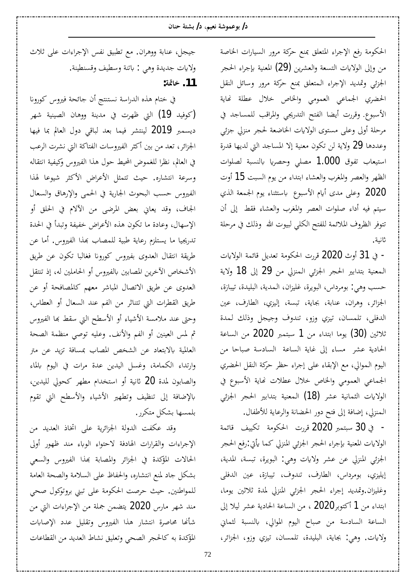الحكومة رفع الإجراء المتعلق بمنع حركة مرور السيارات الخاصة من وإلى الولايات التسعة والعشرين **(29)** المعنية بإجراء الحجر الجزئي وتمديد الإجراء المتعلق بمنع حركة مرور وسائل النقل الحضري الجماعي العمومي والخاص خلال عطلة نماية الأسبوع. وقررت أيضا الفتح التدريجي والمراقب للمساجد في مرحلة أولى وعلى مستوى الولايات الخاضعة لحجر منزلي جزئى وعددها 29 ولاية لن تكون معنية إلا المساجد التي لديها قدرة استيعاب تفوق 1.000 مصلى وحصريا بالنسبة لصلوات الظهر والعصر والمغرب والعشاء ابتداء من يوم السبت 15 أوت 2020 وعلى مدى أيام الأسبوع باستثناء يوم الجمعة الذي سيتم فيه أداء صلوات العصر والمغرب والعشاء فقط إلى أن تتوفر الظروف الملائمة للفتح الكلى لبيوت الله وذلك في مرحلة ثانية.

− في 31 أوث [2020](https://ar.wikipedia.org/wiki/%D8%A3%D8%BA%D8%B3%D8%B7%D8%B3) قررت الحكومة تعديل قائمة الولايات المعنية بتدابير الحجر الجزئي المنزلي من 29 إلى 18 ولاية حسب وهي: بومرداس، البويرة، غليزان، المدية، البليدة، تيبازة، الجزائر، وهران، عنابة، بجاية، تبسة، إليزي، الطارف، عين الدفلي، تلمسان، تيزي وزو، تندوف وجيجل وذلك لمدة ثلاثين (30) يوما ابتداء من 1 سبتمبر 2020 من الساعة الحادية عشر مساء إلى غاية الساعة السادسة صباحا من اليوم الموالي، مع الإبقاء على إجراء حظر حركة النقل الحضري الجماعي العمومي والخاص خلال عطلات نماية الأسبوع في الولايات الثمانية عشر **(18)** المعنية بتدابير الحجر الجزئ<sub>ي</sub> الممنزلي، إضافة إلى فتح دور الحضانة والرعاية للأطفال.

خ 30 سبتمبر [2020](https://ar.wikipedia.org/wiki/%D8%B3%D8%A8%D8%AA%D9%85%D8%A8%D8%B1) قررت الحكومة تكييف قائمة – الولايات المعنية بإجراء الحجر الجزئي المنزلي كما يأتي:رفع الحجر الجزئي المنزلي عن عشر ولايات وهي: البويرة، تبسة، المدية، إيليزي، بومرداس، الطارف، تندوف، تيبازة، عين الدفلي وغليزان.وتمديد إجراء الحجر الجزئي المنزلي لمدة ثلاثين يوما، ابتداء من [1](https://ar.wikipedia.org/wiki/1_%D8%A3%D9%83%D8%AA%D9%88%D8%A8%D8%B1) أكتوبر2020 ، من الساعة الحادية عشر ليلا إلى الساعة السادسة من صباح اليوم الموالي، بالنسبة لثماني ولايات. وهي: بجاية، البليدة، تلمسان، تيزي وزو، الجزائر،

<span id="page-13-0"></span>جيجل، عنابة ووهران. مع تطبيق نفس الإجراءات على ثلاث ولايات جديدة وهي : باتنة وسطيف وقسنطينة.  **:ƨŤƢƻ .11**

<span id="page-13-1"></span>في ختام هذه الدراسة نستنتج أن جائحة فيروس كورونا خوفيد 19) التي ظهرت في مدينة ووهان الصينية شهر) ديسمبر 2019 لينتشر فيما بعد لباقي دول العالم بما فيها الجزائر، تعد من بين أكثر الفيروسات الفتاكة التي نشرت الرعب في العالم، نظرا للغموض المحيط حول هذا الفيروس وكيفية انتقاله وسرعة انتشاره. حيث تتمثل الأعراض الأكثر شيوعا لهذا الفيروس حسب البحوث الجارية في الحمي والإرهاق والسعال الجاف، وقد يعاني بعض المرضى من الآلام في الحلق أو الإسهال، وعادة ما تكون هذه الأعراض خفيفة وتبدأ في الحدة تدريجيا ما يستلزم رعاية طبية للمصاب بمذا الفيروس. أما عن طريقة انتقال العدوى بفيروس كورونا فغالبا تكون عن طريق الأشخاص الآخرين المصابين بالفيروس أو الحاملين له، إذ تنتقل العدوى عن طريق الاتصال المباشر معهم كالمصافحة أو عن طريق القطرات التي تتناثر من الفم عند السعال أو العطاس، وحتى عند ملامسة الأشياء أو الأسطح التي سقط بما الفيروس ثم لمس العينين أو الفم والأنف. وعليه توصى منظمة الصحة العالمية بالابتعاد عن الشخص المصاب بمسافة تزيد عن متر وارتداء الكمامة، وغسل اليدين عدة مرات في اليوم بالماء والصابون لمدة 20 ثانية أو استخدام مطهر كحولي لليدين، بالإضافة إلى تنظيف وتطهير الأشياء والأسطح التي تقوم بلمسها بشكل متكرر.

وقد عكفت الدولة الجزائرية على اتخاذ العديد من الإجراءات والقرارات الهادفة لاحتواء الوباء مند ظهور أولى الحالات المؤكدة في الجزائر والمصابة بهذا الفيروس والسعى بشكل جاد لمنع انتشاره، والحفاظ على السلامة والصحة العامة للمواطنين. حيث حرصت الحكومة على تبنى بروتوكول صحى مند شهر مارس **2020** يتضمن جملة من الإجراءات التي من شأنها محاصرة انتشار هذا الفيروس وتقليل عدد الإصابات المؤكدة به كالحجر الصحى وتعليق نشاط العديد من القطاعات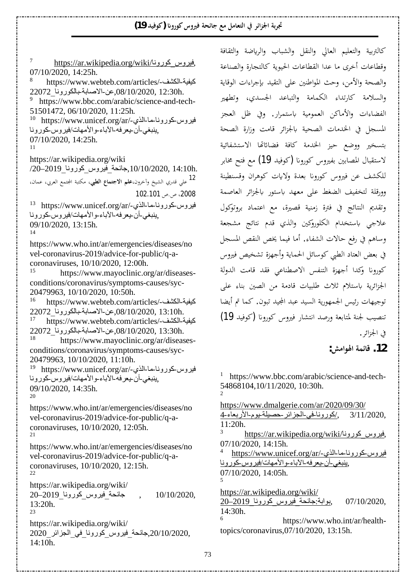<span id="page-14-11"></span><span id="page-14-10"></span><span id="page-14-8"></span><span id="page-14-7"></span><span id="page-14-6"></span>7 https://ar.wikipedia.org/wiki/ڈیروس کورونا 07/10/2020, 14:25h. 8 https://www.webteb.com/articles/-كيفية-الكشف-/ 22072 .08/10/2020, عن-الاصابة بالكورونا 22072 9 https://www.bbc.com/arabic/science-and-tech-51501472, 06/10/2020, 11:25h .  $^{10}$  https://www.unicef.org/ar/-فيروس كورونا ما الذي پنبغي-أن بعرفه-الأباء-والأمهات/فيروس كورونا 07/10/2020, 14:25h. 11 https://ar.wikipedia.org/wiki /20–2019 בילבة فيروس كورونا 2019–20 $(10/2020, 14:10h)$ 12 علي قدري الشيخ وآخرون،**علم الاجتماع الطبي**، مكتبة المجتمع العربي، عمان، 2008، ص.ص 102.101 13 https://www.unicef.org/ar/-فيروس كورونا-ما-الذي ينبغي-أن يعرفه-الأباء والأمهات/فيروس كورونا 09/10/2020, 13:15h. 14 https://www.who.int/ar/emergencies/diseases/no vel-coronavirus-2019/advice-for-public/q-acoronaviruses,  $10/10/2020$ ,  $12:00h$ .<br><sup>15</sup> https://www.mayoclinic.org https://www.mayoclinic.org/ar/diseasesconditions/coronavirus/symptoms-causes/syc-20479963, 10/10/2020, 10:50h. 16 https://www.webteb.com/articles/-كيفية-الكشف-/ 22072BΎϧϭέϮϜϟΎΑ -ΔΑΎλϻ-Ϧϋ,08/10/2020, 13:10h. https://www.webteb.com/articles/-كيفية-الكشف 22072\_من الاصابة بالكورونا\_22072.<br>Bttps://www.masyalinia.ana/an/diaaaa https://www.mayoclinic.org/ar/diseasesconditions/coronavirus/symptoms-causes/syc-20479963, 10/10/2020, 11:10h. 19 https://www.unicef.org/ar/-فيروسكوروناحا-الذي پنبغي-أن بعرفه-الأباء-والأمهات/فيروس-كورونا 09/10/2020, 14:35h. 20 https://www.who.int/ar/emergencies/diseases/no vel-coronavirus-2019/advice-for-public/q-acoronaviruses, 10/10/2020, 12:05h. 21 https://www.who.int/ar/emergencies/diseases/no vel-coronavirus-2019/advice-for-public/q-acoronaviruses, 10/10/2020, 12:15h. 22 https://ar.wikipedia.org/wiki/ 20–2019BΎϧϭέϮϛBαϭήϴϓBΔΤΎΟ , 10/10/2020, 13:20h. 23 https://ar.wikipedia.org/wiki/ 2020/10/2020,جائحة فيروس كورونا في الجزائر 2020 14:10h.

<span id="page-14-9"></span>كالتربية والتعليم العالي والنقل والشباب والرياضة والثقافة وقطاعات أخرى ما عدا القطاعات الحيوية كالتجارة والصناعة والصحة والأمن، وحث المواطنين على التقيد بإجراءات الوقاية والسلامة كارتداء الكمامة والتباعد الجسدي، وتطهير الفضاءات والأماكن العمومية باستمرار. وفي ظل العجز المسجل في الخدمات الصحية بالجزائر قامت وزارة الصحة بتسخير ووضع حيز الخدمة كافة فضائاتها الاستشفائية لاستقبال المصابين بفيروس كورونا (كوفيد **19)** مع فتح مخابر للكشف عن فيروس كورونا بعدة ولايات كوهران وقسنطينة وورقلة لتخفيف الضغط على معهد باستور بالجزائر العاصمة وتقديم النتائج في فترة زمنية قصيرة، مع اعتماد بروتوكول علاجي باستخدام الكلوروكين والذي قدم نتائج مشجعة وساهم في رفع حالات الشفاء. أما فيما يخص النقص المسجل في بعض العتاد الطبي كوسائل الحماية وأجهزة تشخيص فيروس كورونا وكدا أجهزة التنفس الاصطناعي فقد قامت الدولة الجزائرية باستلام ثلاث طلبيات قادمة من الصين بناء على توجيهات رئيس الجمهورية السيد عبد المجيد تبون. كما تم أيضا تنصيب لجنة لمتابعة ورصد انتشار فيروس كورونا (كوفيد 19) في الجزائر .  **:NJǷ¦Ȃ٦ƨǸƟƢǫ .12**

<span id="page-14-16"></span><span id="page-14-15"></span><span id="page-14-14"></span><span id="page-14-13"></span><span id="page-14-12"></span><span id="page-14-0"></span>1 https://www.bbc.com/arabic/science-and-tech-54868104,10/11/2020, 10:30h. 2

<span id="page-14-20"></span><span id="page-14-19"></span><span id="page-14-18"></span><span id="page-14-17"></span><span id="page-14-5"></span><span id="page-14-4"></span><span id="page-14-3"></span><span id="page-14-2"></span><span id="page-14-1"></span>https://www.dmalgerie.com/ar/2020/09/30/ 4-ډلورونافي-الجزائر-حصيلة يوم-الأربعاء-4 $\lambda$ , -3/11/2020, 11:20h. 3 <u>thttps://ar.wikipedia.org/wiki/</u>فیروس کورونا 07/10/2020, 14:15h. 4 https://www.unicef.org/ar/-فيروس كورونا ما الذي ينبغي-أن يعرفه-الأباء-والأمهات/فيروس-كورونا 07/10/2020, 14:05h. 5 https://ar.wikipedia.org/wiki/  $20-2019$ ڊو ابة:جائحة فير وس كور ونا  $07/10/2020$ . 14:30h. 6 https://www.who.int/ar/healthtopics/coronavirus,07/10/2020, 13:15h.